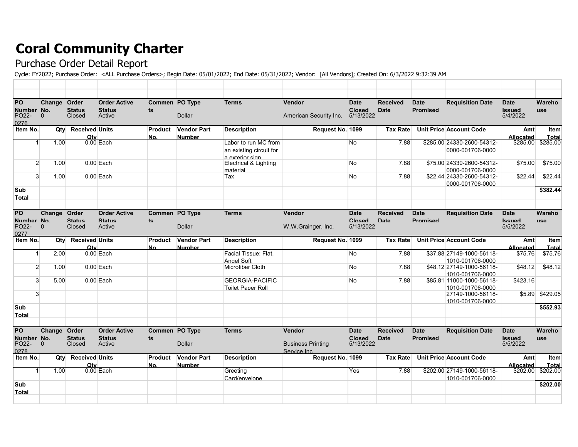## **Coral Community Charter**

## Purchase Order Detail Report

Cycle: FY2022; Purchase Order: <ALL Purchase Orders>; Begin Date: 05/01/2022; End Date: 05/31/2022; Vendor: [All Vendors]; Created On: 6/3/2022 9:32:39 AM

| PO<br>Number No.<br>PO <sub>22</sub> -<br>0276 | Change Order<br>$\Omega$ | <b>Status</b><br>Closed          | <b>Order Active</b><br><b>Status</b><br>Active | Commen PO Type<br>ts | <b>Dollar</b>                       | <b>Terms</b>                                                       | <b>Vendor</b><br>American Security Inc.                  | <b>Date</b><br><b>Closed</b><br>5/13/2022 | <b>Received</b><br>Date | <b>Date</b><br><b>Promised</b> | <b>Requisition Date</b>                                   | <b>Date</b><br><b>Issued</b><br>5/4/2022 | Wareho<br><b>USe</b>         |
|------------------------------------------------|--------------------------|----------------------------------|------------------------------------------------|----------------------|-------------------------------------|--------------------------------------------------------------------|----------------------------------------------------------|-------------------------------------------|-------------------------|--------------------------------|-----------------------------------------------------------|------------------------------------------|------------------------------|
| Item No.                                       | Qty                      | <b>Received Units</b><br>Otv     |                                                | Product<br>No.       | <b>Vendor Part</b><br><b>Number</b> | <b>Description</b>                                                 | Request No. 1099                                         |                                           | <b>Tax Rate</b>         |                                | <b>Unit Price Account Code</b>                            | Amt<br>Allocated                         | Item<br>Total                |
|                                                | 1.00                     |                                  | $0.00$ Each                                    |                      |                                     | Labor to run MC from<br>an existing circuit for<br>a exterior sign |                                                          | No                                        | 7.88                    |                                | \$285.00 24330-2600-54312-<br>0000-001706-0000            | \$285.00                                 | \$285.00                     |
|                                                | $\overline{2}$<br>1.00   |                                  | $0.00$ Each                                    |                      |                                     | Electrical & Lighting<br>material                                  |                                                          | No                                        | 7.88                    |                                | \$75.00 24330-2600-54312-<br>0000-001706-0000             | \$75.00                                  | \$75.00                      |
|                                                | $\mathbf{3}$<br>1.00     |                                  | $0.00$ Each                                    |                      |                                     | Tax                                                                |                                                          | No                                        | 7.88                    |                                | \$22.44 24330-2600-54312-<br>0000-001706-0000             | \$22.44                                  | \$22.44                      |
| Sub<br>Total                                   |                          |                                  |                                                |                      |                                     |                                                                    |                                                          |                                           |                         |                                |                                                           |                                          | \$382.44                     |
| PO<br>Number No.<br>PO <sub>22</sub> -<br>0277 | Change Order<br>$\Omega$ | <b>Status</b><br>Closed          | <b>Order Active</b><br><b>Status</b><br>Active | Commen PO Type<br>ts | <b>Dollar</b>                       | <b>Terms</b>                                                       | <b>Vendor</b><br>W.W.Grainger, Inc.                      | <b>Date</b><br><b>Closed</b><br>5/13/2022 | <b>Received</b><br>Date | <b>Date</b><br><b>Promised</b> | <b>Requisition Date</b>                                   | <b>Date</b><br>heussl<br>5/5/2022        | Wareho<br><b>use</b>         |
| Item No.                                       | Qty                      | <b>Received Units</b>            |                                                | Product              | <b>Vendor Part</b>                  | <b>Description</b>                                                 | Request No. 1099                                         |                                           | <b>Tax Rate</b>         |                                | Unit Price Account Code                                   | Amt                                      | Item                         |
| $\mathbf{1}$                                   | 2.00                     | Otv                              | $0.00$ Each                                    | No.                  | <b>Number</b>                       | Facial Tissue: Flat.                                               |                                                          | No                                        | 7.88                    |                                | \$37.88 27149-1000-56118-                                 | Allocated<br>\$75.76                     | Total<br>$\overline{$}75.76$ |
|                                                | $\overline{2}$<br>1.00   |                                  | $0.00$ Each                                    |                      |                                     | Angel Soft<br>Microfiber Cloth                                     |                                                          | No                                        | 7.88                    |                                | 1010-001706-0000<br>\$48.12 27149-1000-56118-             | \$48.12                                  | \$48.12                      |
|                                                | $\mathbf{3}$<br>5.00     |                                  | $0.00$ Each                                    |                      |                                     | <b>GEORGIA-PACIFIC</b>                                             |                                                          | No                                        | 7.88                    |                                | 1010-001706-0000<br>\$85.81 11000-1000-56118-             | \$423.16                                 |                              |
|                                                | $\mathbf{3}$             |                                  |                                                |                      |                                     | <b>Toilet Paper Roll</b>                                           |                                                          |                                           |                         |                                | 1010-001706-0000<br>27149-1000-56118-<br>1010-001706-0000 | \$5.89                                   | \$429.05                     |
| Sub<br>Total                                   |                          |                                  |                                                |                      |                                     |                                                                    |                                                          |                                           |                         |                                |                                                           |                                          | \$552.93                     |
| PO<br>Number No.<br>PO <sub>22</sub> -<br>0278 | Change<br>$\Omega$       | Order<br><b>Status</b><br>Closed | <b>Order Active</b><br><b>Status</b><br>Active | Commen<br>ts         | PO Type<br><b>Dollar</b>            | <b>Terms</b>                                                       | <b>Vendor</b><br><b>Business Printing</b><br>Service Inc | <b>Date</b><br><b>Closed</b><br>5/13/2022 | <b>Received</b><br>Date | <b>Date</b><br><b>Promised</b> | <b>Requisition Date</b>                                   | <b>Date</b><br><b>Issued</b><br>5/5/2022 | Wareho<br><b>USe</b>         |
| Item No.                                       | Qtv                      | <b>Received Units</b><br>Otv     |                                                | Product<br>No.       | <b>Vendor Part</b><br><b>Number</b> | <b>Description</b>                                                 | Request No. 1099                                         |                                           | <b>Tax Rate</b>         |                                | Unit Price Account Code                                   | Amt<br>Allocated                         | Item<br>Total                |
|                                                | 1.00                     |                                  | $0.00$ Each                                    |                      |                                     | Greeting<br>Card/envelope                                          |                                                          | Yes                                       | 7.88                    |                                | \$202.00 27149-1000-56118-<br>1010-001706-0000            | \$202.00                                 | \$202.00                     |
| Sub<br>Total                                   |                          |                                  |                                                |                      |                                     |                                                                    |                                                          |                                           |                         |                                |                                                           |                                          | \$202.00                     |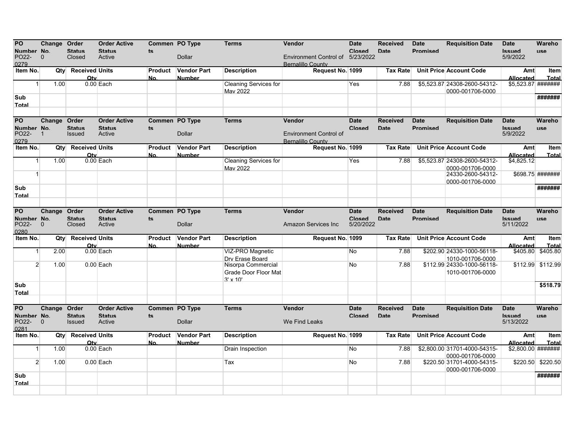| PO                  |              |      | Change Order                 | <b>Order Active</b>     | Commen PO Type        |                                     | <b>Terms</b>                 | Vendor                                                       | <b>Date</b>                | Received        | <b>Date</b>     | <b>Requisition Date</b>                        | <b>Date</b>                | Wareho            |
|---------------------|--------------|------|------------------------------|-------------------------|-----------------------|-------------------------------------|------------------------------|--------------------------------------------------------------|----------------------------|-----------------|-----------------|------------------------------------------------|----------------------------|-------------------|
| Number No.          |              |      | <b>Status</b>                | <b>Status</b>           | ts                    |                                     |                              |                                                              | Closed                     | Date            | <b>Promised</b> |                                                | <b>Issued</b>              | <b>use</b>        |
| PO22-<br>0279       | $\mathbf{0}$ |      | Closed                       | Active                  |                       | <b>Dollar</b>                       |                              | Environment Control of 5/23/2022<br><b>Bernalillo County</b> |                            |                 |                 |                                                | 5/9/2022                   |                   |
| Item No.            |              | Qty  | <b>Received Units</b><br>Otv |                         | Product<br>No.        | <b>Vendor Part</b><br><b>Number</b> | <b>Description</b>           | Request No. 1099                                             |                            | <b>Tax Rate</b> |                 | Unit Price Account Code                        | Amt<br>Allocated           | Item<br>Total     |
| 1 <sup>1</sup>      |              | 1.00 |                              | $0.00$ Each             |                       |                                     | <b>Cleaning Services for</b> |                                                              | Yes                        | 7.88            |                 | \$5.523.87 24308-2600-54312-                   | \$5,523.87 #######         |                   |
|                     |              |      |                              |                         |                       |                                     | Mav 2022                     |                                                              |                            |                 |                 | 0000-001706-0000                               |                            |                   |
| Sub<br>Total        |              |      |                              |                         |                       |                                     |                              |                                                              |                            |                 |                 |                                                |                            | #######           |
|                     |              |      |                              |                         |                       |                                     |                              |                                                              |                            |                 |                 |                                                |                            |                   |
| PO                  |              |      | Change Order                 | <b>Order Active</b>     | Commen PO Type        |                                     | <b>Terms</b>                 | Vendor                                                       | <b>Date</b>                | <b>Received</b> | <b>Date</b>     | <b>Requisition Date</b>                        | <b>Date</b>                | Wareho            |
| Number No.          |              |      | <b>Status</b>                | <b>Status</b>           | ts                    |                                     |                              |                                                              | Closed                     | Date            | <b>Promised</b> |                                                | <b>Issued</b>              | <b>USA</b>        |
| PO22-               | $\mathbf{1}$ |      | <b>Issued</b>                | Active                  |                       | <b>Dollar</b>                       |                              | <b>Environment Control of</b>                                |                            |                 |                 |                                                | 5/9/2022                   |                   |
| 0279<br>Item No.    |              | Qty  | <b>Received Units</b>        |                         | Product               | Vendor Part                         | <b>Description</b>           | <b>Bernalillo County</b><br>Request No. 1099                 |                            | <b>Tax Rate</b> |                 | <b>Unit Price Account Code</b>                 | Amt                        | <b>Item</b>       |
|                     |              |      | Otv                          |                         | No.                   | <b>Number</b>                       |                              |                                                              |                            |                 |                 |                                                | <b>Allocated</b>           | Total             |
| 1                   |              | 1.00 |                              | $0.00$ Each             |                       |                                     | <b>Cleaning Services for</b> |                                                              | Yes                        | 7.88            |                 | \$5,523.87 24308-2600-54312-                   | \$4,825.12                 |                   |
| $\mathbf{1}$        |              |      |                              |                         |                       |                                     | Mav 2022                     |                                                              |                            |                 |                 | 0000-001706-0000<br>24330-2600-54312-          |                            | \$698.75 #######  |
|                     |              |      |                              |                         |                       |                                     |                              |                                                              |                            |                 |                 | 0000-001706-0000                               |                            |                   |
| Sub                 |              |      |                              |                         |                       |                                     |                              |                                                              |                            |                 |                 |                                                |                            | #######           |
| Total               |              |      |                              |                         |                       |                                     |                              |                                                              |                            |                 |                 |                                                |                            |                   |
|                     |              |      |                              |                         |                       |                                     |                              |                                                              |                            |                 |                 |                                                |                            |                   |
| PO                  |              |      | Change Order                 | <b>Order Active</b>     | Commen PO Type        |                                     | <b>Terms</b>                 | Vendor                                                       | <b>Date</b>                | <b>Received</b> | <b>Date</b>     | <b>Requisition Date</b>                        | <b>Date</b>                | Wareho            |
| Number No.<br>PO22- | $\mathbf{0}$ |      | <b>Status</b><br>Closed      | <b>Status</b><br>Active | $ts$                  | <b>Dollar</b>                       |                              | <b>Amazon Services Inc</b>                                   | <b>Closed</b><br>5/20/2022 | Date            | <b>Promised</b> |                                                | <b>Issued</b><br>5/11/2022 | <b>use</b>        |
| 0280                |              |      |                              |                         |                       |                                     |                              |                                                              |                            |                 |                 |                                                |                            |                   |
| Item No.            |              | Qty  | <b>Received Units</b>        |                         | Product               | <b>Vendor Part</b>                  | <b>Description</b>           | Request No. 1099                                             |                            | <b>Tax Rate</b> |                 | <b>Unit Price Account Code</b>                 | Amt                        | Item              |
| 1                   |              | 2.00 | Otv                          | $0.00$ Each             | No.                   | <b>Number</b>                       | VIZ-PRO Magnetic             |                                                              | No                         | 7.88            |                 | \$202.90 24330-1000-56118-                     | Allocated<br>\$405.80      | Total<br>\$405.80 |
|                     |              |      |                              |                         |                       |                                     | Drv Erase Board              |                                                              |                            |                 |                 | 1010-001706-0000                               |                            |                   |
| $\overline{2}$      |              | 1.00 |                              | $0.00$ Each             |                       |                                     | Nisorpa Commercial           |                                                              | No                         | 7.88            |                 | \$112.99 24330-1000-56118-                     |                            | \$112.99 \$112.99 |
|                     |              |      |                              |                         |                       |                                     | Grade Door Floor Mat         |                                                              |                            |                 |                 | 1010-001706-0000                               |                            |                   |
| Sub                 |              |      |                              |                         |                       |                                     | $3' \times 10'$              |                                                              |                            |                 |                 |                                                |                            | \$518.79          |
| Total               |              |      |                              |                         |                       |                                     |                              |                                                              |                            |                 |                 |                                                |                            |                   |
|                     |              |      |                              |                         |                       |                                     |                              |                                                              |                            |                 |                 |                                                |                            |                   |
| <b>PO</b>           |              |      | Change Order                 | <b>Order Active</b>     | <b>Commen PO Type</b> |                                     | <b>Terms</b>                 | Vendor                                                       | <b>Date</b>                | <b>Received</b> | <b>Date</b>     | <b>Requisition Date</b>                        | <b>Date</b>                | Wareho            |
| Numher No.          |              |      | <b>Status</b>                | <b>Status</b>           | ts.                   |                                     |                              | We Find Leaks                                                | Closed                     | <b>Date</b>     | Promised        |                                                | hauzzl                     | <b>IISA</b>       |
| PO22-<br>0281       | $\mathbf{0}$ |      | <b>Issued</b>                | Active                  |                       | Dollar                              |                              |                                                              |                            |                 |                 |                                                | 5/13/2022                  |                   |
| Item No.            |              | Qty  | <b>Received Units</b>        |                         | Product               | <b>Vendor Part</b>                  | <b>Description</b>           | Request No. 1099                                             |                            | <b>Tax Rate</b> |                 | Unit Price Account Code                        | Amt                        | Item              |
|                     |              |      | Otv                          |                         | No.                   | <b>Number</b>                       |                              |                                                              |                            |                 |                 |                                                | <b>Allocated</b>           | Total             |
| $\mathbf{1}$        |              | 1.00 |                              | $0.00$ Each             |                       |                                     | <b>Drain Inspection</b>      |                                                              | No                         | 7.88            |                 | \$2,800.00 31701-4000-54315-                   | \$2,800.00 #######         |                   |
| $\overline{2}$      |              | 1.00 |                              | $0.00$ Each             |                       |                                     | Tax                          |                                                              | No                         | 7.88            |                 | 0000-001706-0000<br>\$220.50 31701-4000-54315- | \$220.50                   | \$220.50          |
|                     |              |      |                              |                         |                       |                                     |                              |                                                              |                            |                 |                 | 0000-001706-0000                               |                            |                   |
| Sub                 |              |      |                              |                         |                       |                                     |                              |                                                              |                            |                 |                 |                                                |                            | #######           |
| Total               |              |      |                              |                         |                       |                                     |                              |                                                              |                            |                 |                 |                                                |                            |                   |
|                     |              |      |                              |                         |                       |                                     |                              |                                                              |                            |                 |                 |                                                |                            |                   |